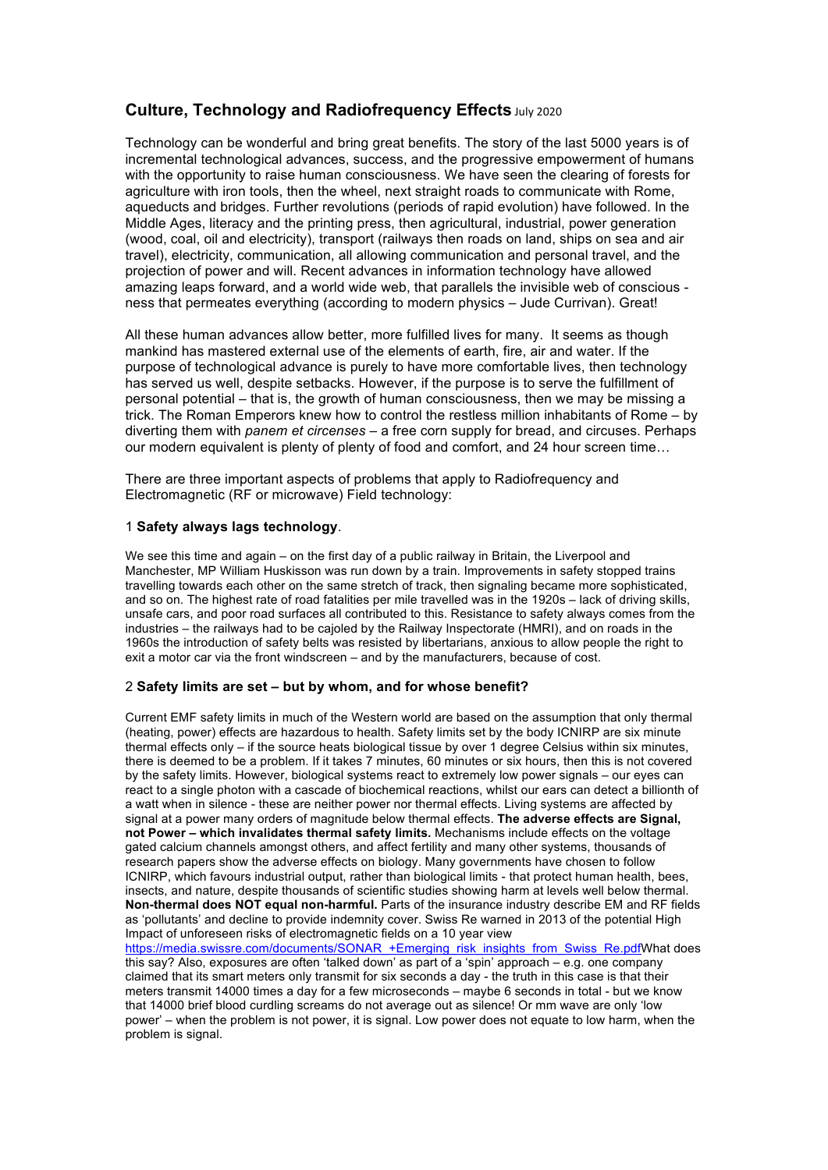# **Culture, Technology and Radiofrequency Effects July 2020**

Technology can be wonderful and bring great benefits. The story of the last 5000 years is of incremental technological advances, success, and the progressive empowerment of humans with the opportunity to raise human consciousness. We have seen the clearing of forests for agriculture with iron tools, then the wheel, next straight roads to communicate with Rome, aqueducts and bridges. Further revolutions (periods of rapid evolution) have followed. In the Middle Ages, literacy and the printing press, then agricultural, industrial, power generation (wood, coal, oil and electricity), transport (railways then roads on land, ships on sea and air travel), electricity, communication, all allowing communication and personal travel, and the projection of power and will. Recent advances in information technology have allowed amazing leaps forward, and a world wide web, that parallels the invisible web of conscious ness that permeates everything (according to modern physics – Jude Currivan). Great!

All these human advances allow better, more fulfilled lives for many. It seems as though mankind has mastered external use of the elements of earth, fire, air and water. If the purpose of technological advance is purely to have more comfortable lives, then technology has served us well, despite setbacks. However, if the purpose is to serve the fulfillment of personal potential – that is, the growth of human consciousness, then we may be missing a trick. The Roman Emperors knew how to control the restless million inhabitants of Rome – by diverting them with *panem et circenses* – a free corn supply for bread, and circuses. Perhaps our modern equivalent is plenty of plenty of food and comfort, and 24 hour screen time…

There are three important aspects of problems that apply to Radiofrequency and Electromagnetic (RF or microwave) Field technology:

## 1 **Safety always lags technology**.

We see this time and again – on the first day of a public railway in Britain, the Liverpool and Manchester, MP William Huskisson was run down by a train. Improvements in safety stopped trains travelling towards each other on the same stretch of track, then signaling became more sophisticated, and so on. The highest rate of road fatalities per mile travelled was in the 1920s – lack of driving skills, unsafe cars, and poor road surfaces all contributed to this. Resistance to safety always comes from the industries – the railways had to be cajoled by the Railway Inspectorate (HMRI), and on roads in the 1960s the introduction of safety belts was resisted by libertarians, anxious to allow people the right to exit a motor car via the front windscreen – and by the manufacturers, because of cost.

### 2 **Safety limits are set – but by whom, and for whose benefit?**

Current EMF safety limits in much of the Western world are based on the assumption that only thermal (heating, power) effects are hazardous to health. Safety limits set by the body ICNIRP are six minute thermal effects only – if the source heats biological tissue by over 1 degree Celsius within six minutes, there is deemed to be a problem. If it takes 7 minutes, 60 minutes or six hours, then this is not covered by the safety limits. However, biological systems react to extremely low power signals – our eyes can react to a single photon with a cascade of biochemical reactions, whilst our ears can detect a billionth of a watt when in silence - these are neither power nor thermal effects. Living systems are affected by signal at a power many orders of magnitude below thermal effects. **The adverse effects are Signal, not Power – which invalidates thermal safety limits.** Mechanisms include effects on the voltage gated calcium channels amongst others, and affect fertility and many other systems, thousands of research papers show the adverse effects on biology. Many governments have chosen to follow ICNIRP, which favours industrial output, rather than biological limits - that protect human health, bees, insects, and nature, despite thousands of scientific studies showing harm at levels well below thermal. **Non-thermal does NOT equal non-harmful.** Parts of the insurance industry describe EM and RF fields as 'pollutants' and decline to provide indemnity cover. Swiss Re warned in 2013 of the potential High Impact of unforeseen risks of electromagnetic fields on a 10 year view

https://media.swissre.com/documents/SONAR\_+Emerging\_risk\_insights\_from\_Swiss\_Re.pdfWhat does this say? Also, exposures are often 'talked down' as part of a 'spin' approach – e.g. one company claimed that its smart meters only transmit for six seconds a day - the truth in this case is that their meters transmit 14000 times a day for a few microseconds – maybe 6 seconds in total - but we know that 14000 brief blood curdling screams do not average out as silence! Or mm wave are only 'low power' – when the problem is not power, it is signal. Low power does not equate to low harm, when the problem is signal.